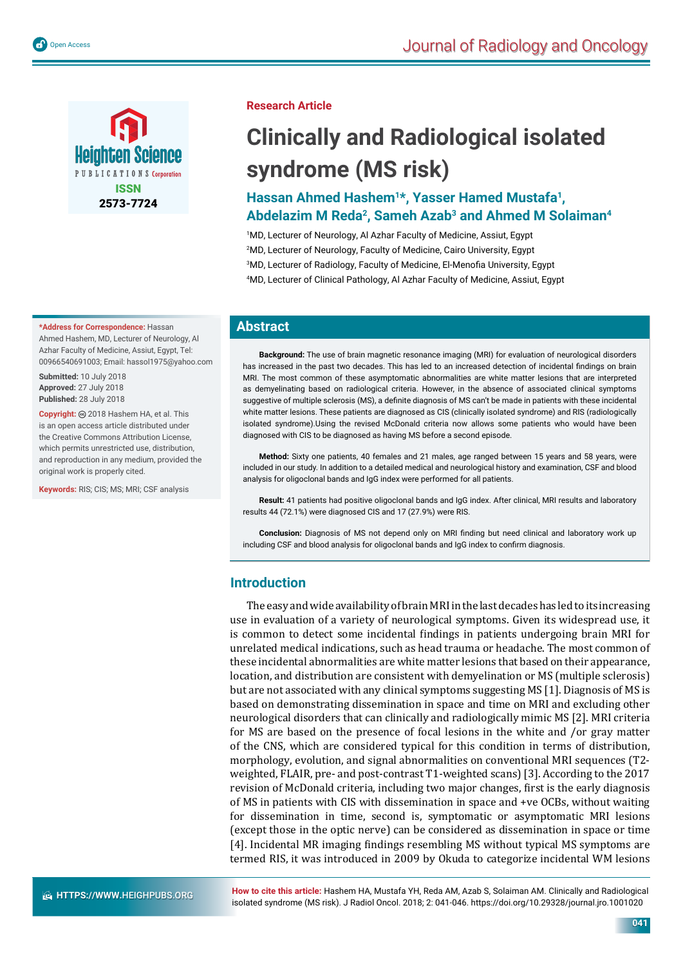

#### **\*Address for Correspondence:** Hassan Ahmed Hashem, MD, Lecturer of Neurology, Al Azhar Faculty of Medicine, Assiut, Egypt, Tel: 00966540691003; Email: hassol1975@yahoo.com

**Submitted:** 10 July 2018 **Approved:** 27 July 2018 **Published:** 28 July 2018

Copyright: @ 2018 Hashem HA, et al. This is an open access article distributed under the Creative Commons Attribution License, which permits unrestricted use, distribution, and reproduction in any medium, provided the original work is properly cited.

**Keywords:** RIS; CIS; MS; MRI; CSF analysis

# **Research Article**

# **Clinically and Radiological isolated syndrome (MS risk)**

# **Hassan Ahmed Hashem1\*, Yasser Hamed Mustafa1, Abdelazim M Reda2, Sameh Azab3 and Ahmed M Solaiman4**

1 MD, Lecturer of Neurology, Al Azhar Faculty of Medicine, Assiut, Egypt 2 MD, Lecturer of Neurology, Faculty of Medicine, Cairo University, Egypt

- $^3$ MD, Lecturer of Radiology, Faculty of Medicine, El-Menofia University, Egypt
- 4 MD, Lecturer of Clinical Pathology, Al Azhar Faculty of Medicine, Assiut, Egypt

# **Abstract**

**Background:** The use of brain magnetic resonance imaging (MRI) for evaluation of neurological disorders has increased in the past two decades. This has led to an increased detection of incidental findings on brain MRI. The most common of these asymptomatic abnormalities are white matter lesions that are interpreted as demyelinating based on radiological criteria. However, in the absence of associated clinical symptoms suggestive of multiple sclerosis (MS), a definite diagnosis of MS can't be made in patients with these incidental white matter lesions. These patients are diagnosed as CIS (clinically isolated syndrome) and RIS (radiologically isolated syndrome).Using the revised McDonald criteria now allows some patients who would have been diagnosed with CIS to be diagnosed as having MS before a second episode.

**Method:** Sixty one patients, 40 females and 21 males, age ranged between 15 years and 58 years, were included in our study. In addition to a detailed medical and neurological history and examination, CSF and blood analysis for oligoclonal bands and IgG index were performed for all patients.

**Result:** 41 patients had positive oligoclonal bands and IgG index. After clinical, MRI results and laboratory results 44 (72.1%) were diagnosed CIS and 17 (27.9%) were RIS.

Conclusion: Diagnosis of MS not depend only on MRI finding but need clinical and laboratory work up including CSF and blood analysis for oligoclonal bands and IgG index to confirm diagnosis.

# **Introduction**

The easy and wide availability of brain MRI in the last decades has led to its increasing use in evaluation of a variety of neurological symptoms. Given its widespread use, it is common to detect some incidental findings in patients undergoing brain MRI for unrelated medical indications, such as head trauma or headache. The most common of these incidental abnormalities are white matter lesions that based on their appearance, location, and distribution are consistent with demyelination or MS (multiple sclerosis) but are not associated with any clinical symptoms suggesting MS [1]. Diagnosis of MS is based on demonstrating dissemination in space and time on MRI and excluding other neurological disorders that can clinically and radiologically mimic MS [2]. MRI criteria for MS are based on the presence of focal lesions in the white and /or gray matter of the CNS, which are considered typical for this condition in terms of distribution, morphology, evolution, and signal abnormalities on conventional MRI sequences (T2 weighted, FLAIR, pre- and post-contrast T1-weighted scans) [3]. According to the 2017 revision of McDonald criteria, including two major changes, first is the early diagnosis of MS in patients with CIS with dissemination in space and +ve OCBs, without waiting for dissemination in time, second is, symptomatic or asymptomatic MRI lesions (except those in the optic nerve) can be considered as dissemination in space or time [4]. Incidental MR imaging findings resembling MS without typical MS symptoms are termed RIS, it was introduced in 2009 by Okuda to categorize incidental WM lesions

**How to cite this article:** Hashem HA, Mustafa YH, Reda AM, Azab S, Solaiman AM. Clinically and Radiological isolated syndrome (MS risk). J Radiol Oncol. 2018; 2: 041-046. https://doi.org/10.29328/journal.jro.1001020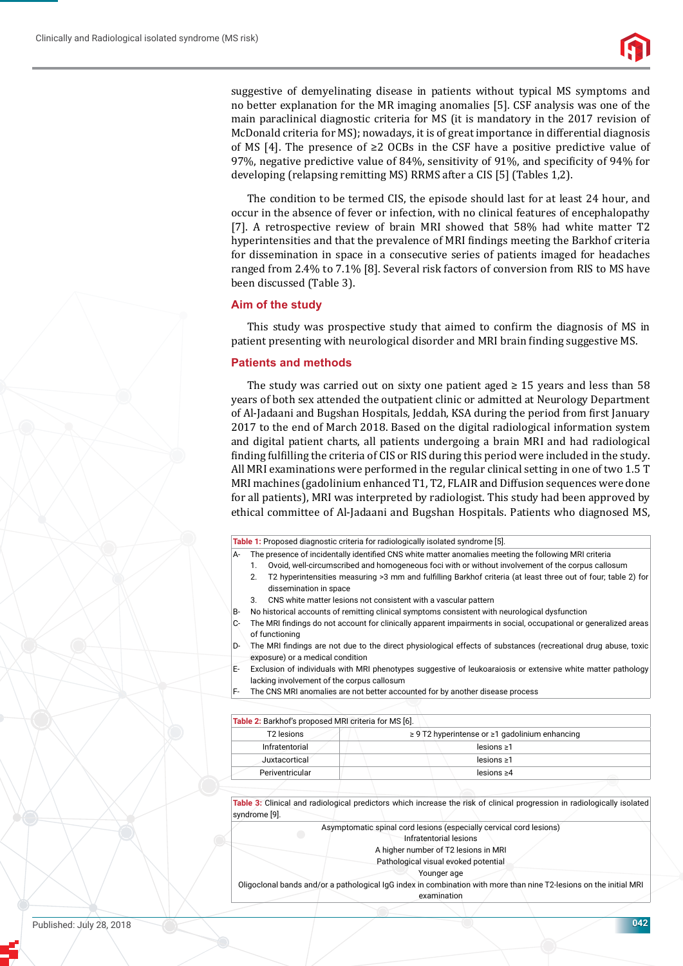

suggestive of demyelinating disease in patients without typical MS symptoms and no better explanation for the MR imaging anomalies [5]. CSF analysis was one of the main paraclinical diagnostic criteria for MS (it is mandatory in the 2017 revision of McDonald criteria for MS); nowadays, it is of great importance in differential diagnosis of MS [4]. The presence of ≥2 OCBs in the CSF have a positive predictive value of 97%, negative predictive value of 84%, sensitivity of 91%, and specificity of 94% for developing (relapsing remitting MS) RRMS after a CIS [5] (Tables 1,2).

The condition to be termed CIS, the episode should last for at least 24 hour, and occur in the absence of fever or infection, with no clinical features of encephalopathy [7]. A retrospective review of brain MRI showed that 58% had white matter T2 hyperintensities and that the prevalence of MRI findings meeting the Barkhof criteria for dissemination in space in a consecutive series of patients imaged for headaches ranged from 2.4% to 7.1% [8]. Several risk factors of conversion from RIS to MS have been discussed (Table 3).

# **Aim of the study**

This study was prospective study that aimed to confirm the diagnosis of MS in patient presenting with neurological disorder and MRI brain finding suggestive MS.

## **Patients and methods**

The study was carried out on sixty one patient aged  $\geq 15$  years and less than 58 years of both sex attended the outpatient clinic or admitted at Neurology Department of Al-Jadaani and Bugshan Hospitals, Jeddah, KSA during the period from first January 2017 to the end of March 2018. Based on the digital radiological information system and digital patient charts, all patients undergoing a brain MRI and had radiological finding fulfilling the criteria of CIS or RIS during this period were included in the study. All MRI examinations were performed in the regular clinical setting in one of two 1.5 T MRI machines (gadolinium enhanced T1, T2, FLAIR and Diffusion sequences were done for all patients), MRI was interpreted by radiologist. This study had been approved by ethical committee of Al-Jadaani and Bugshan Hospitals. Patients who diagnosed MS,

#### **Table 1:** Proposed diagnostic criteria for radiologically isolated syndrome [5].

- The presence of incidentally identified CNS white matter anomalies meeting the following MRI criteria
	- Ovoid, well-circumscribed and homogeneous foci with or without involvement of the corpus callosum
	- 2. T2 hyperintensities measuring >3 mm and fulfilling Barkhof criteria (at least three out of four; table 2) for dissemination in space
- 3. CNS white matter lesions not consistent with a vascular pattern
- B- No historical accounts of remitting clinical symptoms consistent with neurological dysfunction
- C- The MRI findings do not account for clinically apparent impairments in social, occupational or generalized areas of functioning
- D- The MRI findings are not due to the direct physiological effects of substances (recreational drug abuse, toxic exposure) or a medical condition
- E- Exclusion of individuals with MRI phenotypes suggestive of leukoaraiosis or extensive white matter pathology lacking involvement of the corpus callosum
- The CNS MRI anomalies are not better accounted for by another disease process

**Table 2:** Barkhof's proposed MRI criteria for MS [6].

| T <sub>2</sub> lesions | $\geq$ 9 T2 hyperintense or $\geq$ 1 gadolinium enhancing |  |  |
|------------------------|-----------------------------------------------------------|--|--|
| Infratentorial         | $lesions \geq 1$                                          |  |  |
| Juxtacortical          | $lesions \geq 1$                                          |  |  |
| Periventricular        | $lesions \geq 4$                                          |  |  |

**Table 3:** Clinical and radiological predictors which increase the risk of clinical progression in radiologically isolated syndrome [9].

Asymptomatic spinal cord lesions (especially cervical cord lesions)

Infratentorial lesions

A higher number of T2 lesions in MRI Pathological visual evoked potential

Younger age

Oligoclonal bands and/or a pathological IgG index in combination with more than nine T2‐lesions on the initial MRI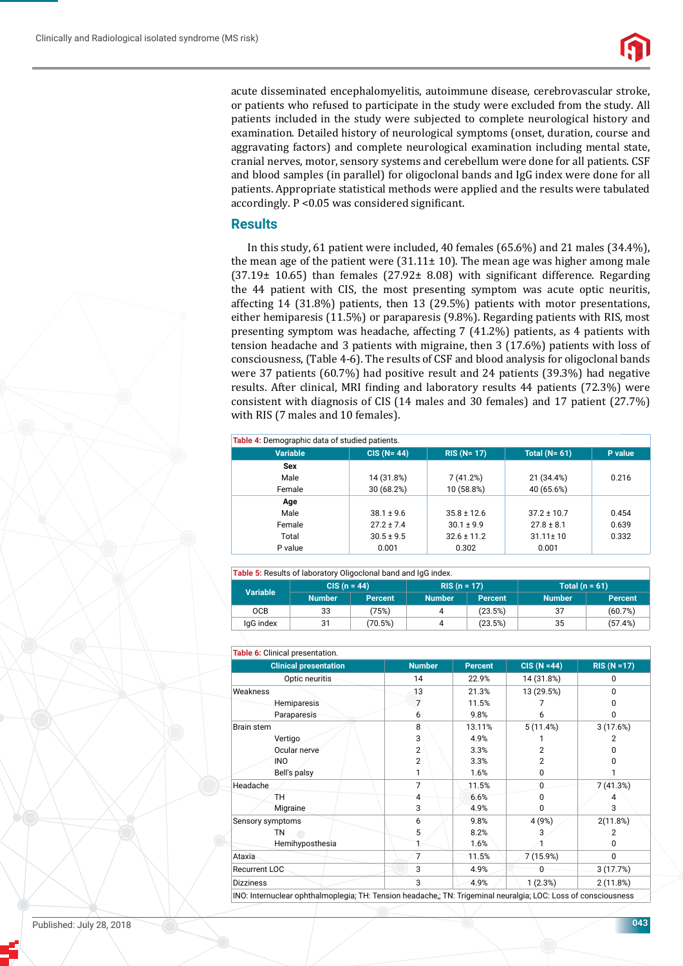

acute disseminated encephalomyelitis, autoimmune disease, cerebrovascular stroke, or patients who refused to participate in the study were excluded from the study. All patients included in the study were subjected to complete neurological history and examination. Detailed history of neurological symptoms (onset, duration, course and aggravating factors) and complete neurological examination including mental state, cranial nerves, motor, sensory systems and cerebellum were done for all patients. CSF and blood samples (in parallel) for oligoclonal bands and IgG index were done for all patients. Appropriate statistical methods were applied and the results were tabulated accordingly.  $P < 0.05$  was considered significant.

# **Results**

In this study, 61 patient were included, 40 females (65.6%) and 21 males (34.4%), the mean age of the patient were  $(31.11 \pm 10)$ . The mean age was higher among male  $(37.19\pm 10.65)$  than females  $(27.92\pm 8.08)$  with significant difference. Regarding the 44 patient with CIS, the most presenting symptom was acute optic neuritis, affecting 14 (31.8%) patients, then 13 (29.5%) patients with motor presentations, either hemiparesis (11.5%) or paraparesis (9.8%). Regarding patients with RIS, most presenting symptom was headache, affecting 7 (41.2%) patients, as 4 patients with tension headache and 3 patients with migraine, then 3 (17.6%) patients with loss of consciousness, (Table 4-6). The results of CSF and blood analysis for oligoclonal bands were 37 patients (60.7%) had positive result and 24 patients (39.3%) had negative results. After clinical, MRI finding and laboratory results 44 patients (72.3%) were consistent with diagnosis of CIS (14 males and 30 females) and 17 patient (27.7%) with RIS (7 males and 10 females).

#### **Table 4:** Demographic data of studied patients.

| <b>Variable</b> | $CIS (N=44)$   | $RIS (N = 17)$  | Total $(N=61)$  | P value |
|-----------------|----------------|-----------------|-----------------|---------|
| Sex             |                |                 |                 |         |
| Male            | 14 (31.8%)     | 7(41.2%)        | 21 (34.4%)      | 0.216   |
| Female          | 30 (68.2%)     | 10 (58.8%)      | 40 (65.6%)      |         |
| Age             |                |                 |                 |         |
| Male            | $38.1 \pm 9.6$ | $35.8 \pm 12.6$ | $37.2 \pm 10.7$ | 0.454   |
| Female          | $27.2 \pm 7.4$ | $30.1 \pm 9.9$  | $27.8 \pm 8.1$  | 0.639   |
| Total           | $30.5 \pm 9.5$ | $32.6 \pm 11.2$ | $31.11 \pm 10$  | 0.332   |
| P value         | 0.001          | 0.302           | 0.001           |         |
|                 |                |                 |                 |         |

#### **Table 5:** Results of laboratory Oligoclonal band and IgG index.

| <b>TWATER TO A TEACHER IS A TEACHER TO A TEACHER AND THE STATE IS A TEACHER TEACHER TEACHER IS A TEACHER TEACHER T</b> |                |                |               |         |                  |         |
|------------------------------------------------------------------------------------------------------------------------|----------------|----------------|---------------|---------|------------------|---------|
| Variable                                                                                                               | $CIS (n = 44)$ |                | $RIS(n = 17)$ |         | Total $(n = 61)$ |         |
|                                                                                                                        | <b>Number</b>  | <b>Percent</b> | <b>Number</b> | Percent | <b>Number</b>    | Percent |
| <b>OCB</b>                                                                                                             | 33             | (75%)          |               | (23.5%) | 37               | (60.7%) |
| IgG index                                                                                                              | 31             | (70.5%)        |               | (23.5%) | 35               | (57.4%) |

| Table 6: Clinical presentation.                                                                                |                |                |                              |                     |
|----------------------------------------------------------------------------------------------------------------|----------------|----------------|------------------------------|---------------------|
| <b>Clinical presentation</b>                                                                                   | <b>Number</b>  | <b>Percent</b> | $CIS (N = 44)$<br>14 (31.8%) | $RIS (N = 17)$<br>0 |
| Optic neuritis                                                                                                 | 14             | 22.9%          |                              |                     |
| Weakness                                                                                                       | 13             | 21.3%          | 13 (29.5%)                   | $\Omega$            |
| <b>Hemiparesis</b>                                                                                             | 7              | 11.5%          |                              | U                   |
| Paraparesis                                                                                                    | 6              | 9.8%           | 6                            | 0                   |
| Brain stem                                                                                                     | 8              | 13.11%         | 5(11.4%)                     | 3(17.6%)            |
| Vertigo                                                                                                        | 3              | 4.9%           |                              | 2                   |
| Ocular nerve                                                                                                   | 2              | 3.3%           | 2                            |                     |
| <b>INO</b>                                                                                                     | $\overline{2}$ | 3.3%           | 2                            |                     |
| Bell's palsy                                                                                                   |                | 1.6%           | 0                            |                     |
| Headache                                                                                                       | 7              | 11.5%          | 0                            | 7(41.3%)            |
| TН                                                                                                             | 4              | 6.6%           | 0                            |                     |
| Migraine                                                                                                       | 3              | 4.9%           | 0                            | 3                   |
| Sensory symptoms                                                                                               | 6              | 9.8%           | 4 (9%)                       | 2(11.8%)            |
| <b>TN</b>                                                                                                      | 5              | 8.2%           |                              | 2                   |
| Hemihyposthesia                                                                                                |                | 1.6%           |                              | $\Omega$            |
| Ataxia                                                                                                         | $\overline{7}$ | 11.5%          | 7(15.9%)                     | $\mathbf{0}$        |
| Recurrent LOC                                                                                                  | 3              | 4.9%           | 0                            | 3(17.7%)            |
| <b>Dizziness</b>                                                                                               | 3              | 4.9%           | 1(2.3%)                      | 2(11.8%)            |
| INO: Internuclear ophthalmoplegia; TH: Tension headache,; TN: Trigeminal neuralgia; LOC: Loss of consciousness |                |                |                              |                     |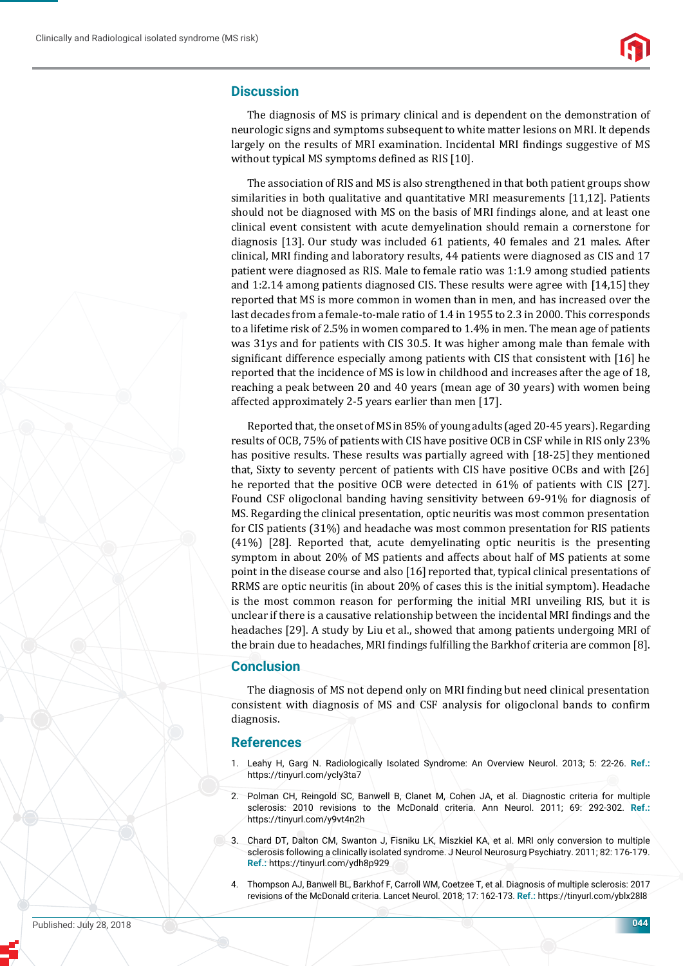# **Discussion**

The diagnosis of MS is primary clinical and is dependent on the demonstration of neurologic signs and symptoms subsequent to white matter lesions on MRI. It depends largely on the results of MRI examination. Incidental MRI findings suggestive of MS without typical MS symptoms defined as RIS [10].

The association of RIS and MS is also strengthened in that both patient groups show similarities in both qualitative and quantitative MRI measurements [11,12]. Patients should not be diagnosed with MS on the basis of MRI findings alone, and at least one clinical event consistent with acute demyelination should remain a cornerstone for diagnosis [13]. Our study was included 61 patients, 40 females and 21 males. After clinical, MRI finding and laboratory results, 44 patients were diagnosed as CIS and 17 patient were diagnosed as RIS. Male to female ratio was 1:1.9 among studied patients and 1:2.14 among patients diagnosed CIS. These results were agree with  $[14,15]$  they reported that MS is more common in women than in men, and has increased over the last decades from a female-to-male ratio of 1.4 in 1955 to 2.3 in 2000. This corresponds to a lifetime risk of 2.5% in women compared to 1.4% in men. The mean age of patients was 31ys and for patients with CIS 30.5. It was higher among male than female with significant difference especially among patients with CIS that consistent with [16] he reported that the incidence of MS is low in childhood and increases after the age of 18, reaching a peak between 20 and 40 years (mean age of 30 years) with women being affected approximately 2-5 years earlier than men [17].

Reported that, the onset of MS in 85% of young adults (aged 20-45 years). Regarding results of OCB, 75% of patients with CIS have positive OCB in CSF while in RIS only 23% has positive results. These results was partially agreed with  $[18-25]$  they mentioned that, Sixty to seventy percent of patients with CIS have positive OCBs and with [26] he reported that the positive OCB were detected in 61% of patients with CIS [27]. Found CSF oligoclonal banding having sensitivity between 69-91% for diagnosis of MS. Regarding the clinical presentation, optic neuritis was most common presentation for CIS patients (31%) and headache was most common presentation for RIS patients (41%) [28]. Reported that, acute demyelinating optic neuritis is the presenting symptom in about 20% of MS patients and affects about half of MS patients at some point in the disease course and also [16] reported that, typical clinical presentations of RRMS are optic neuritis (in about 20% of cases this is the initial symptom). Headache is the most common reason for performing the initial MRI unveiling RIS, but it is unclear if there is a causative relationship between the incidental MRI findings and the headaches [29]. A study by Liu et al., showed that among patients undergoing MRI of the brain due to headaches, MRI findings fulfilling the Barkhof criteria are common [8].

## **Conclusion**

The diagnosis of MS not depend only on MRI finding but need clinical presentation consistent with diagnosis of MS and CSF analysis for oligoclonal bands to confirm diagnosis.

## **References**

- 1. Leahy H, Garg N. Radiologically Isolated Syndrome: An Overview Neurol. 2013; 5: 22-26. **Ref.:** https://tinyurl.com/ycly3ta7
- 2. Polman CH, Reingold SC, Banwell B, Clanet M, Cohen JA, et al. Diagnostic criteria for multiple sclerosis: 2010 revisions to the McDonald criteria. Ann Neurol. 2011; 69: 292-302. **Ref.:** https://tinyurl.com/y9vt4n2h
- 3. Chard DT, Dalton CM, Swanton J, Fisniku LK, Miszkiel KA, et al. MRI only conversion to multiple sclerosis following a clinically isolated syndrome. J Neurol Neurosurg Psychiatry. 2011; 82: 176-179. **Ref.:** https://tinyurl.com/ydh8p929
- 4. Thompson AJ, Banwell BL, Barkhof F, Carroll WM, Coetzee T, et al. Diagnosis of multiple sclerosis: 2017 revisions of the McDonald criteria. Lancet Neurol. 2018; 17: 162-173. **Ref.:** https://tinyurl.com/yblx28l8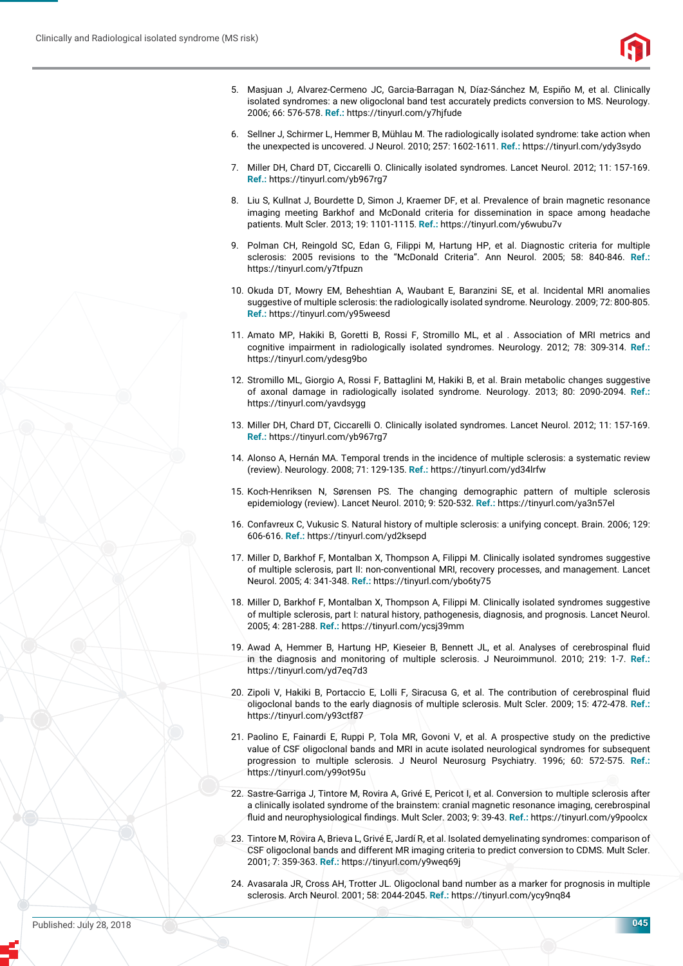

- 5. Masjuan J, Alvarez-Cermeno JC, Garcia-Barragan N, Díaz-Sánchez M, Espiño M, et al. Clinically isolated syndromes: a new oligoclonal band test accurately predicts conversion to MS. Neurology. 2006; 66: 576-578. **Ref.:** https://tinyurl.com/y7hjfude
- 6. Sellner J, Schirmer L, Hemmer B, Mühlau M. The radiologically isolated syndrome: take action when the unexpected is uncovered. J Neurol. 2010; 257: 1602-1611. **Ref.:** https://tinyurl.com/ydy3sydo
- 7. Miller DH, Chard DT, Ciccarelli O. Clinically isolated syndromes. Lancet Neurol. 2012; 11: 157-169. **Ref.:** https://tinyurl.com/yb967rg7
- 8. Liu S, Kullnat J, Bourdette D, Simon J, Kraemer DF, et al. Prevalence of brain magnetic resonance imaging meeting Barkhof and McDonald criteria for dissemination in space among headache patients. Mult Scler. 2013; 19: 1101-1115. **Ref.:** https://tinyurl.com/y6wubu7v
- 9. Polman CH, Reingold SC, Edan G, Filippi M, Hartung HP, et al. Diagnostic criteria for multiple sclerosis: 2005 revisions to the "McDonald Criteria". Ann Neurol. 2005; 58: 840-846. **Ref.:** https://tinyurl.com/y7tfpuzn
- 10. Okuda DT, Mowry EM, Beheshtian A, Waubant E, Baranzini SE, et al. Incidental MRI anomalies suggestive of multiple sclerosis: the radiologically isolated syndrome. Neurology. 2009; 72: 800-805. **Ref.:** https://tinyurl.com/y95weesd
- 11. Amato MP, Hakiki B, Goretti B, Rossi F, Stromillo ML, et al . Association of MRI metrics and cognitive impairment in radiologically isolated syndromes. Neurology. 2012; 78: 309-314. **Ref.:** https://tinyurl.com/ydesg9bo
- 12. Stromillo ML, Giorgio A, Rossi F, Battaglini M, Hakiki B, et al. Brain metabolic changes suggestive of axonal damage in radiologically isolated syndrome. Neurology. 2013; 80: 2090-2094. **Ref.:** https://tinyurl.com/yavdsygg
- 13. Miller DH, Chard DT, Ciccarelli O. Clinically isolated syndromes. Lancet Neurol. 2012; 11: 157-169. **Ref.:** https://tinyurl.com/yb967rg7
- 14. Alonso A, Hernán MA. Temporal trends in the incidence of multiple sclerosis: a systematic review (review). Neurology. 2008; 71: 129-135. **Ref.:** https://tinyurl.com/yd34lrfw
- 15. Koch-Henriksen N, Sørensen PS. The changing demographic pattern of multiple sclerosis epidemiology (review). Lancet Neurol. 2010; 9: 520-532. **Ref.:** https://tinyurl.com/ya3n57el
- 16. Confavreux C, Vukusic S. Natural history of multiple sclerosis: a unifying concept. Brain. 2006; 129: 606-616. **Ref.:** https://tinyurl.com/yd2ksepd
- 17. Miller D, Barkhof F, Montalban X, Thompson A, Filippi M. Clinically isolated syndromes suggestive of multiple sclerosis, part II: non-conventional MRI, recovery processes, and management. Lancet Neurol. 2005; 4: 341-348. **Ref.:** https://tinyurl.com/ybo6ty75
- 18. Miller D, Barkhof F, Montalban X, Thompson A, Filippi M. Clinically isolated syndromes suggestive of multiple sclerosis, part I: natural history, pathogenesis, diagnosis, and prognosis. Lancet Neurol. 2005; 4: 281-288. **Ref.:** https://tinyurl.com/ycsj39mm
- 19. Awad A, Hemmer B, Hartung HP, Kieseier B, Bennett JL, et al. Analyses of cerebrospinal fluid in the diagnosis and monitoring of multiple sclerosis. J Neuroimmunol. 2010; 219: 1-7. **Ref.:** https://tinyurl.com/yd7eq7d3
- 20. Zipoli V, Hakiki B, Portaccio E, Lolli F, Siracusa G, et al. The contribution of cerebrospinal fluid oligoclonal bands to the early diagnosis of multiple sclerosis. Mult Scler. 2009; 15: 472-478. **Ref.:** https://tinyurl.com/y93ctf87
- 21. Paolino E, Fainardi E, Ruppi P, Tola MR, Govoni V, et al. A prospective study on the predictive value of CSF oligoclonal bands and MRI in acute isolated neurological syndromes for subsequent progression to multiple sclerosis. J Neurol Neurosurg Psychiatry. 1996; 60: 572-575. **Ref.:** https://tinyurl.com/y99ot95u
- 22. Sastre-Garriga J, Tintore M, Rovira A, Grivé E, Pericot I, et al. Conversion to multiple sclerosis after a clinically isolated syndrome of the brainstem: cranial magnetic resonance imaging, cerebrospinal fluid and neurophysiological findings. Mult Scler. 2003; 9: 39-43. Ref.: https://tinyurl.com/y9poolcx
- 23. Tintore M, Rovira A, Brieva L, Grivé E, Jardí R, et al. Isolated demyelinating syndromes: comparison of CSF oligoclonal bands and different MR imaging criteria to predict conversion to CDMS. Mult Scler. 2001; 7: 359-363. **Ref.:** https://tinyurl.com/y9weq69j
- 24. Avasarala JR, Cross AH, Trotter JL. Oligoclonal band number as a marker for prognosis in multiple sclerosis. Arch Neurol. 2001; 58: 2044-2045. **Ref.:** https://tinyurl.com/ycy9nq84